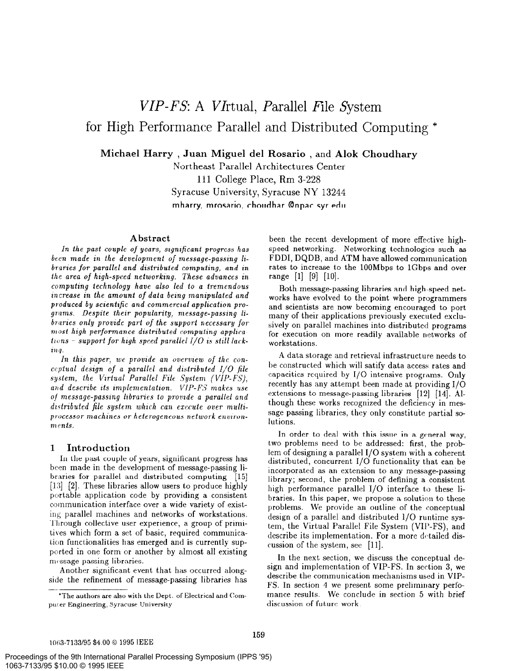# VIP-FS: A Virtual, Parallel file System for High Performance Parallel and Distributed Computing \*

Michael Harry , Juan Miguel de1 Rosario , and Alok Choudhary

Northeast Parallel Architectures Center 111 College Place, Rm 3-228 Syracuse University, Syracuse NY 13244 mharry, mrosario, choudhar @npac.syr.edu

#### Abstract

In the past couple of years, significant progress has been made in the development of message-passing  $h$ braries for parallel and distributed computing, and in the area of high-speed networking. These advances in computing technology have also led to a tremendous  $increese$  in the amount of data being manipulated and produced by scientific and commercial application programs. Despite their popularity, message-passing libraries only provide part of the support necessary for most high performance distributed computing applica $tions$  - support for high speed parallel  $I/O$  is still lack $in a$ 

In this paper, we provide an overview of the conceptual design of a parallel and distributed  $I/O$  file system, the Virtual Parallel File System (VIP-FS), and describe its implementation. VIP-FS makes use of message-passing libraries to provide a parallel and distributed file system which can execute over multiprocessor machines or heterogeneous network environ $ments.$ 

#### 1 Introduction

In the past couple of years, significant progress has been made in the development of message-passing libraries for parallel and distributed computing [15] [13] [2]. These libraries allow users to produce highly portable application code by providing a consistent communication interface over a wide variety of existing parallel machines and networks of workstations. Through collective user experience, a group of primitives which form a set of basic, required communication functionalities has emerged and is currently supported in one form or another by almost all existing message-passing libraries.

Another significant event that has occurred alongside the refinement of message-passing libraries has<br>-.. 'The authors are also with the Dept. of Electrical and Combeen the recent development of more effective highspeed networking. Networking technologies such as FDDI, DQDB, and ATM have allowed communication rates to increase to the 1OOMbps to 1Gbps and over range [l] [9] [lo].

Both message-passing libraries and high-speed networks have evolved to the point where programmers and scientists are now becoming encouraged to port many of their applications previously executed exclusively on parallel machines into distributed programs for execution on more readily available networks of workstations.

A data storage and retrieval infrastructure needs to be constructed which will satify data access rates and capacities required by  $I/O$  intensive programs. Only recently has any attempt been made at providing I/O extensions to message-passing libraries [12] [14]. Although these works recognized the deficiency in message passing libraries, they only constitute partial solutions.

In order to deal with this issue in a general way, two problems need to be addressed: first, the problem of designing a parallel I/O system with a coherent distributed, concurrent I/O functionality that can be incorporated as an extension to any message-passing library; second, the problem of defining a consistent high performance parallel I/O interface to these libraries. In this paper, we propose a solution to these problems. We provide an outline of the conceptual design of a parallel and distributed l/O runtime system, the Virtual Parallel File System (VIP-FS), and describe its implementation. For a more detailed discussion of the system, see  $|11|$ .

In the next section, we discuss the conceptual design and implementation of VIP-FS. In section 3, we describe the communication mechanisms used in VIP-FS. In section 4 we present some preliminary perfomance results. We conclude in section 5 with brief discussion of future work.

puter Engineering, Syracuse University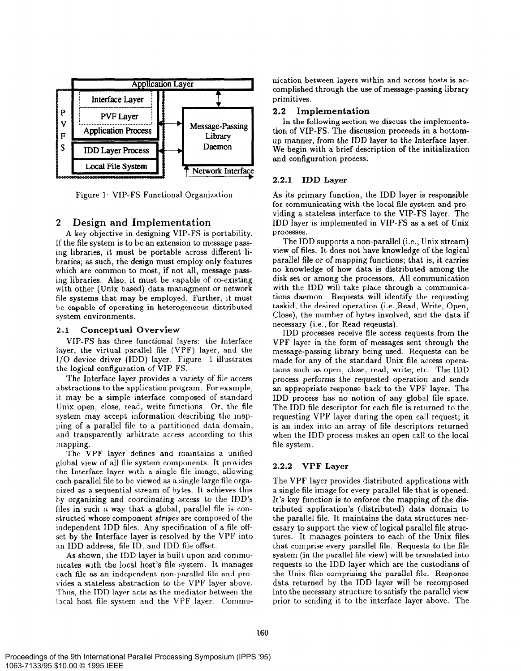

Figure 1. VIP-FS Functional Organization

# 2 Design and Implementation

A key objective in designing VIP-FS is portability. If the file system is to be an extension to message passing libraries, it must be portable across different libraries; as such, the design must employ only features which are common to most, if not all, message passing libraries. Also, it must be capable of co-existing with other (Unix based) data managment or network file systems that may be employed. Further, it must be capable of operating in heterogeneous distributed system environments.

#### 2.1 Conceptual Overview

VIP-FS has three functional Iayers: the Interface layer, the virtual parallel file (VPF) layer, and the I/O device driver (IDD) layer. Figure 1 illustrates the logical configuration of VIP-FS.

The Interface layer provides a variety of file access abstractions to the application program. For example, it may be a simple interface composed of standard Unix open, close, read, write functions. Or, the file system may accept information describing the mapping of a parallel file to a partitioned data domain, and transparently arbitrate access according to this mapping.

The VPF layer defines and maintains a unified global view of all file system components. It provides the Interface layer with a single file image, allowing each parallel file to be viewed as a single large file organized as a sequential stream of bytes. It achieves this by organizing and coordinating access to the IDD's files in such a way that a global., parallel file is constructed whose component stripes are composed of the independent IDD files. Any specification of a file offset by the Interface layer is resolved by the VPF into an IDD address, file ID, and IDD file offset.

As shown, the IDD layer is built upon and communicates with the local host's file system. It manages each file as an independent non-parallel file and provides a stateless abstraction to the VPF layer above. 'Thus, the IDD layer acts as the mediator between the local host file system and the VPF layer. Communication between layers within and across hosts is accomplished through the use of message-passing library primitives.

#### 2.2 Implementation

In the following section we discuss the implementation of VIP-FS. The discussion proceeds in a bottomup manner, from the IDD layer to the Interface layer. We begin with a brief description of the initialization and configuration process.

## 2.2.1 IDD Layer

As its primary function, the IDD layer is responsible for communicating with the local file system and providing a stateless interface to the VIP-FS layer. The IDD layer is implemented in VIP-FS as a set of Unix processes.

The IDD supports a non-parallel (i.e., Unix stream) view of files. It does not have knowledge of the logical parallel file or of mapping functions; that is, it carries no knowledge of how data is distributed among the disk set or among the processors. All communication with the IDD will take place through a communications daemon. Requests will identify the requesting taskid, the desired operation (i.e.,Read, Write, Open, Close), the number of bytes involved, and the data if necessary (i.e., for Read reqeusts).

IDD processes receive file access requests from the VPF layer in the form of messages sent through the message-passing library being used. Requests can be made for any of the standard Unix file access operations such as open, close, read, write, etc. The IDD process performs the requested operation and sends an appropriate response back to the VPF layer. The IDD process has no notion of any global file space. The IDD file descriptor for each file is returned to the requesting VPF layer during the open call request; it is an index into an array of file descriptors returned when the IDD process makes an open call to the local file system.

### 2.2.2 VPF Layer

The VPF layer provides distributed applications with a single file image for every parallel file that is opened. It's key function is to enforce the mapping of the distributed application's (distributed) data domain to the parallel file. It maintains the data structures necessary to support the view of logical parallel file structures. It manages pointers to each of the Unix files that comprise every parallel file. Requests to the file system (in the parallel file view) will be translated into requests to the IDD layer which are the custodians of the Unix files comprising the parallel file. Response data returned by the IDD layer will be recomposed into the necessary structure to satisfy the parallel view prior to sending it to the interface layer above. The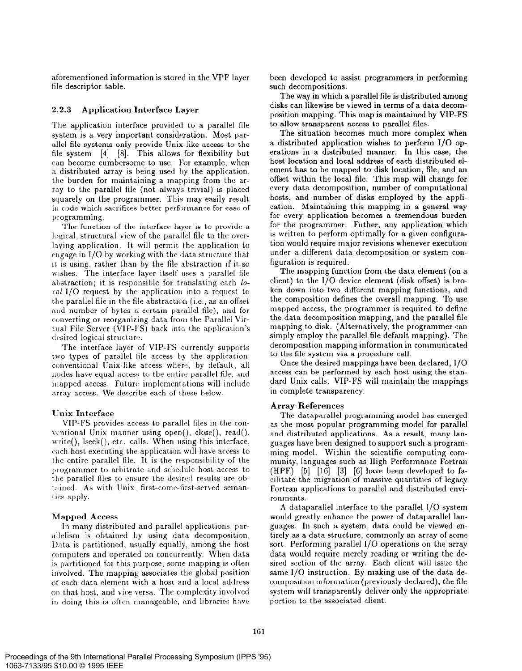aforementioned information is stored in the VPF layer file descriptor table.

#### 2.2.3 Application Interface Layer

The application interface provided to a parallel file system is a very important consideration. Most parallel file systems only provide Unix-like access to the file system [4] [8]. This allows for flexibility but can become cumbersome to use. For example, when a distributed array is being used by the application, the burden for maintaining a mapping from the array to the parallel file (not always trivial) is placed squarely on the programmer. This may easily result in code which sacrifices better performance for ease of programming.

The function of the interface layer is to provide a logical, structural view of the parallel file to the overlaying application. It will permit the application to engage in  $I/O$  by working with the data structure that it is using, rather than by the file abstraction if it so wishes. The interface layer itself uses a parallel file abstraction; it is responsible for translating each  $lo$  $cal\ I/O$  request by the application into a request to the parallel file in the file abstraction (i.e., as an offset and number of bytes a certain parallel file), and for converting or reorganizing data from the Parallel Virtual File Server (VIP-FS) back into the application's desired logical structure.

The interface layer of VIP-FS currently supports two types of parallel file access by the application: conventional Unix-like access where, by default, all nodes have equal access to the entire parallel file, and mapped access. Future implementations will include array access. We describe each of these below.

#### Unix Interface

VIP-FS provides access to parallel files in the conventional Unix manner using open $($ ), close $($ ), read $($ ),  $write()$ ,  $lseck()$ , etc. calls. When using this interface, each host executing the application will have access to the entire parallel file. It is the responsibility of the programmer to arbitrate and schedule host access to the parallel files to ensure the desired results are obtained. As with Unix. first-come-first-served semanties apply.

#### Mapped Access

In many distributed and parallel applications, parallelism is obtained by using data decomposition. l)ata is partitioned, usually equally, among the host computers and operated on concurrently. When data is partitioned for this purpose, some mapping is often involved. The mapping associates the global position of each data element with a host and a local address on that host, and vice versa. The complexity involved in doing this is often manageable, and libraries have

been developed to assist programmers in performing such decompositions.

The way in which a parallel file is distributed among disks can likewise be viewed in terms of a data decomposition mapping. This map is maintained by VIP-FS to allow transparent access to parallel files.

The situation becomes much more complex when a distributed application wishes to perform I/O operations in a distributed manner. In this case, the host location and local address of each distributed element has to be mapped to disk location, file, and an offset within the local file. This map will change for every data decomposition, number of computational hosts, and number of disks employed by the application. Maintaining this mapping in a general way for every application becomes a tremendous burden for the programmer. Futher, any application which is written to perform optimally for a given configuration would require major revisions whenever execution under a different data decomposition or system configuration is required.

The mapping function from the data element (on a client) to the  $I/O$  device element (disk offset) is broken down into two different mapping functions, and the composition defines the overall mapping. To use mapped access, the programmer is required to define the data decomposition mapping, and the parallel file mapping to disk. (Alternatively, the programmer can simply employ the parallel file default mapping). The decomposition mapping information in communicated to the file system via a procedure call.

Once the desired mappings have been declared, I/O access can be performed by each host using the standard Unix calls. VIP-FS will maintain the mappings in complete transparency.

#### Array References

The dataparallel programming model has emerged as the most popular programming model for parallel and distributed applications. As a result, many languages have been designed to support such a programming model. Within the scientific computing community, languages such as High Performance Fortran (HPF) [5] [16] [3] [6] have been developed to facilitate the migration of massive quantities of legacy Fortran applications to parallel and distributed environments.

A dataparallel interface to the parallel I/O system would greatly enhance the power of dataparallel languages. In such a system, data could be viewed entirely as a data structure, commonly an array of some sort. Performing parallel I/O operations on the array data would require merely reading or writing the desired section of the array. Each client will issue the same I/O instruction. By making use of the data decomposition information (previously declared), the file system will transparently deliver only the appropriate portion to the associated client.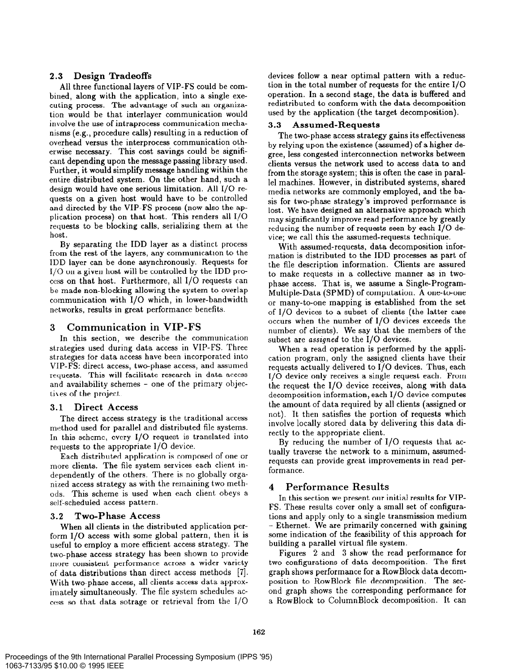## 2.3 Design Tradeoffs

All three functional layers of VIP-FS could be combined, along with the application, into a single executing process. The advantage of such an organization would be that interlayer communication would involve the use of intraprocess communication mechanisms (e.g., procedure calls) resulting in a reduction of overhead versus the interprocess communication otherwise necessary. This cost savings could be significant depending upon the message passing library used. Further, it would simplify message handling within the entire distributed system. On the other hand, such a design would have one serious limitation. All I/O requests on a given host would have to be controlled and directed by the VIP-FS process (now also the application process) on that host. This renders all I/O requests to be blocking calls, serializing them at the host.

By separating the IDD layer as a distinct process from the rest of the layers, any communication to the IDD layer can be done asynchronously. Requests for I/O on a given host will be controlled by the IDD process on that host. Furthermore, all I/O requests can be made non-blocking allowing the system to overlap communication with I/O which, in lower-bandwidth networks, results in great performance benefits.

# 3 Communication in VIP-FS

In this section, we describe the communication strategies used during data access in VIP-FS. Three strategies for data access have been incorporated into VIP-FS: direct access, two-phase access, and assumed requests. This will facilitate research in data access and availability schemes - one of the primary objectives of the project.

# 3.1 Direct Access

The direct access strategy is the traditional access method used for parallel and distributed file systems. In this scheme, every I/O request is translated into requests to the appropriate I/O device.

Each distributed application is composed of one or more clients. The file system services each client independently of the others. There is no globally organized access strategy as with the remaining two methods. This scheme is used when each client obeys a self-scheduled access pattern.

# 3.2 Two-Phase Access

When all clients in the distributed application perform I/O access with some global pattern, then it is useful to employ a more efficient access strategy. The two-phase access strategy has been shown to provide more consistent performance across a wider variety of data distributions than direct access methods [7]. With two-phase access, all clients access data approximately simultaneously. The file system schedules access so that data sotrage or retrieval from the I/O devices follow a near optimal pattern with a reduction in the total number of requests for the entire I/O operation. In a second stage, the data is buffered and redistributed to conform with the data decomposition used by the application (the target decomposition).

## 3.3 Assumed-Requests

The two-phase access strategy gains its effectiveness by relying upon the existence (assumed) of a higher degree, less congested interconnection networks between clients versus the network used to access data to and from the storage system; this is often the case in parallel machines. However, in distributed systems, shared media networks are commonly employed, and the basis for two-phase strategy's improved performance is lost. We have designed an alternative approach which may significantly improve read performance by greatly reducing the number of requests seen by each I/O device; we call this the assumed-requests technique.

With assumed-requests, data decomposition information is distributed to the IDD processes as part of the file description information. Clients are assured to make requests in a collective manner as in twophase access. That is, we assume a Single-Program-Multiple-Data (SPMD) of computation. A one-to-one or many-to-one mapping is established from the set of I/O devices to a subset of clients (the latter case occurs when the number of I/O devices exceeds the number of clients). We say that the members of the subset are assigned to the I/O devices.

When a read operation is performed by the application program, only the assigned clients have their requests actually delivered to I/O devices. Thus, each I/O device only receives a single request each. From the request the I/O device receives, along with data decomposition information, each I/O device computes the amount of data required by all clients (assigned or not). It then satisfies the portion of requests which involve locally stored data by delivering this data directly to the appropriate client.

By reducing the number of I/O requests that actually traverse the network to a minimum, assumedrequests can provide great improvements in read performance.

# 4 Performance Results

In this section we present our initial results for VIP-FS. These results cover only a small set of configurations and apply only to a single transmission medium - Ethernet. We are primarily concerned with gaining some indication of the feasibility of this approach for building a parallel virtual file system.

Figures 2 and 3 show the read performance for two configurations of data decomposition. The first graph shows performance for a RowBlock data decomposition to RowBlock file decomposition. The second graph shows the corresponding performance for a RowBlock to ColumnBlock decomposition. It can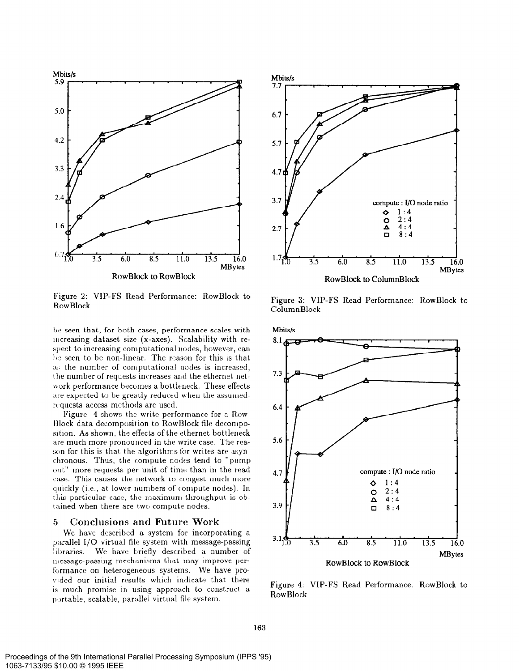

Figure 2: VIP-FS Read Performance: RowBlock to **RowBlock** 

be seen that, for both cases, performance scales with increasing dataset size (x-axes). Scalability with respect to increasing computational nodes, however, can be seen to be non-linear. The reason for this is that as the number of computational nodes is increased. the number of requests increases and the ethernet network performance becomes a bottleneck. These effects are expected to be greatly reduced when the assumedrequests access methods are used.

Figure  $4$  shows the write performance for a Row-Block data decomposition to RowBlock file decomposition. As shown, the effects of the ethernet bottleneck are much more pronounced in the write case. The reason for this is that the algorithms for writes are asynchronous. Thus, the compute nodes tend to "pump" out" more requests per unit of time than in the read case. This causes the network to congest much more quickly (i.e., at lower numbers of compute nodes). In this particular case, the maximum throughput is obtained when there are two compute nodes.

#### 5 Conclusions and Future Work

We have described a system for incorporating a parallel I/O virtual file system with message-passing libraries. We have briefly described a number of message-passing mechanisms that may improve performance on heterogeneous systems. We have provided our initial results which indicate that there is much promise in using approach to construct a portable, scalable, parallel virtual file system.



Figure 3: VIP-FS Read Performance: RowBlock to ColumnBlock



Figure 4: VIP-FS Read Performance: RowBlock to RowBlock

Proceedings of the 9th International Parallel Processing Symposium (IPPS '95) 1063-7133/95 \$10.00 © 1995 IEEE